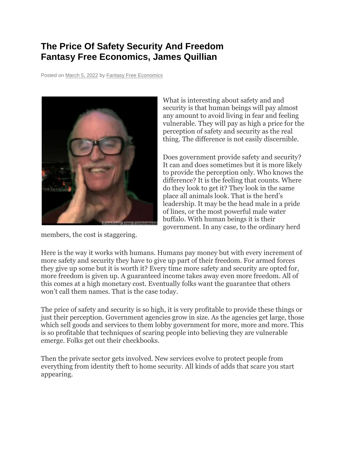## **The Price Of Safety Security And Freedom Fantasy Free Economics, James Quillian**

Posted on [March 5, 2022](http://quillian.net/blog/?p=7876) by [Fantasy Free Economics](http://quillian.net/blog/author/james-quillian/)



members, the cost is staggering.

What is interesting about safety and and security is that human beings will pay almost any amount to avoid living in fear and feeling vulnerable. They will pay as high a price for the perception of safety and security as the real thing. The difference is not easily discernible.

Does government provide safety and security? It can and does sometimes but it is more likely to provide the perception only. Who knows the difference? It is the feeling that counts. Where do they look to get it? They look in the same place all animals look. That is the herd's leadership. It may be the head male in a pride of lines, or the most powerful male water buffalo. With human beings it is their government. In any case, to the ordinary herd

Here is the way it works with humans. Humans pay money but with every increment of more safety and security they have to give up part of their freedom. For armed forces they give up some but it is worth it? Every time more safety and security are opted for, more freedom is given up. A guaranteed income takes away even more freedom. All of this comes at a high monetary cost. Eventually folks want the guarantee that others won't call them names. That is the case today.

The price of safety and security is so high, it is very profitable to provide these things or just their perception. Government agencies grow in size. As the agencies get large, those which sell goods and services to them lobby government for more, more and more. This is so profitable that techniques of scaring people into believing they are vulnerable emerge. Folks get out their checkbooks.

Then the private sector gets involved. New services evolve to protect people from everything from identity theft to home security. All kinds of adds that scare you start appearing.